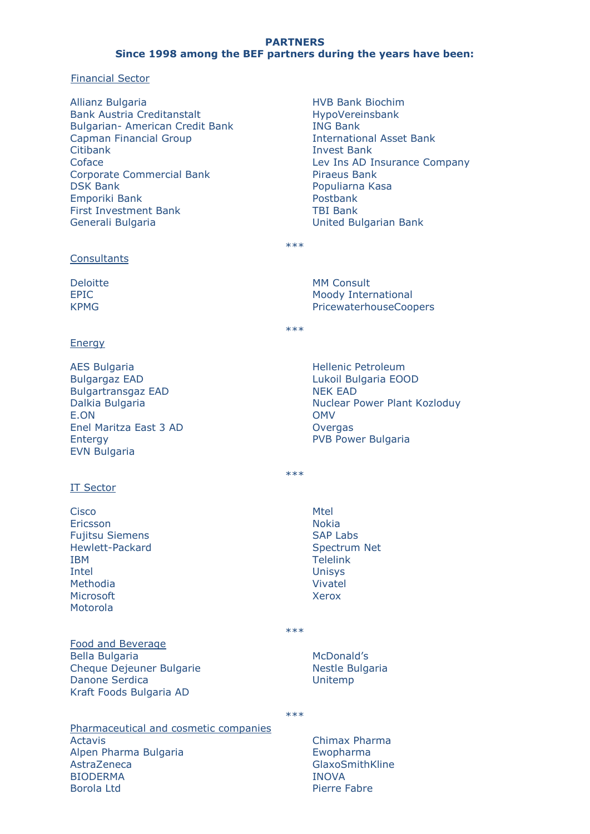# **PARTNERS Since 1998 among the BEF partners during the years have been:**

### Financial Sector

- Allianz Bulgaria Bank Austria Creditanstalt Bulgarian- American Credit Bank Capman Financial Group Citibank Coface Corporate Commercial Bank DSK Bank Emporiki Bank First Investment Bank Generali Bulgaria
- HVB Bank Biochim HypoVereinsbank ING Bank International Asset Bank Invest Bank Lev Ins AD Insurance Company Piraeus Bank Populiarna Kasa Postbank TBI Bank United Bulgarian Bank

\*\*\*

\*\*\*

MM Consult

Moody International PricewaterhouseCoopers

### **Consultants**

Deloitte EPIC KPMG

# Energy

AES Bulgaria Bulgargaz EAD Bulgartransgaz EAD Dalkia Bulgaria E.ON Enel Maritza East 3 AD Entergy EVN Bulgaria

# IT Sector

**Cisco** Ericsson Fujitsu Siemens Hewlett-Packard IBM Intel Methodia **Microsoft** Motorola

# Food and Beverage

Bella Bulgaria Cheque Dejeuner Bulgarie Danone Serdica Kraft Foods Bulgaria AD

Hellenic Petroleum Lukoil Bulgaria EOOD

NEK EAD Nuclear Power Plant Kozloduy **OMV Overgas** PVB Power Bulgaria

\*\*\*

Mtel Nokia SAP Labs Spectrum Net Telelink Unisys Vivatel Xerox

\*\*\*

McDonald's Nestle Bulgaria Unitemp

\*\*\*

Pharmaceutical and cosmetic companies Actavis Alpen Pharma Bulgaria AstraZeneca BIODERMA Borola Ltd

Chimax Pharma Ewopharma GlaxoSmithKline INOVA Pierre Fabre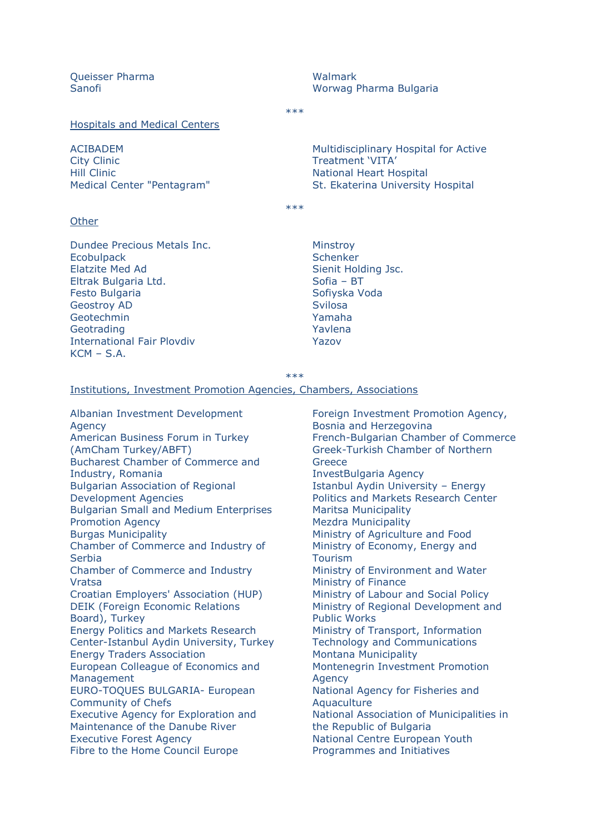Queisser Pharma Sanofi

Walmark Worwag Pharma Bulgaria

\*\*\*

Hospitals and Medical Centers

ACIBADEM City Clinic Hill Clinic Medical Center "Pentagram"

Multidisciplinary Hospital for Active Treatment 'VITA' National Heart Hospital St. Ekaterina University Hospital

 $***$ 

#### **Other**

Dundee Precious Metals Inc. **Ecobulpack** Elatzite Med Ad Eltrak Bulgaria Ltd. Festo Bulgaria Geostroy AD **Geotechmin Geotrading** International Fair Plovdiv  $KCM - S.A.$ 

Minstroy **Schenker** Sienit Holding Jsc. Sofia – BT Sofiyska Voda Svilosa Yamaha Yavlena Yazov

\*\*\*

#### Institutions, Investment Promotion Agencies, Chambers, Associations

Albanian Investment Development Agency American Business Forum in Turkey (AmCham Turkey/ABFT) Bucharest Chamber of Commerce and Industry, Romania Bulgarian Association of Regional Development Agencies Bulgarian Small and Medium Enterprises Promotion Agency Burgas Municipality Chamber of Commerce and Industry of **Serbia** Chamber of Commerce and Industry Vratsa Croatian Employers' Association (HUP) DEIK (Foreign Economic Relations Board), Turkey Energy Politics and Markets Research Center-Istanbul Aydin University, Turkey Energy Traders Association European Colleague of Economics and Management EURO-TOQUES BULGARIA- European Community of Chefs Executive Agency for Exploration and Maintenance of the Danube River Executive Forest Agency Fibre to the Home Council Europe

Foreign Investment Promotion Agency, Bosnia and Herzegovina French-Bulgarian Chamber of Commerce Greek-Turkish Chamber of Northern Greece InvestBulgaria Agency Istanbul Aydin University – Energy Politics and Markets Research Center Maritsa Municipality Mezdra Municipality Ministry of Agriculture and Food Ministry of Economy, Energy and **Tourism** Ministry of Environment and Water Ministry of Finance Ministry of Labour and Social Policy Ministry of Regional Development and Public Works Ministry of Transport, Information Technology and Communications Montana Municipality Montenegrin Investment Promotion Agency National Agency for Fisheries and **Aquaculture** National Association of Municipalities in the Republic of Bulgaria National Centre European Youth Programmes and Initiatives